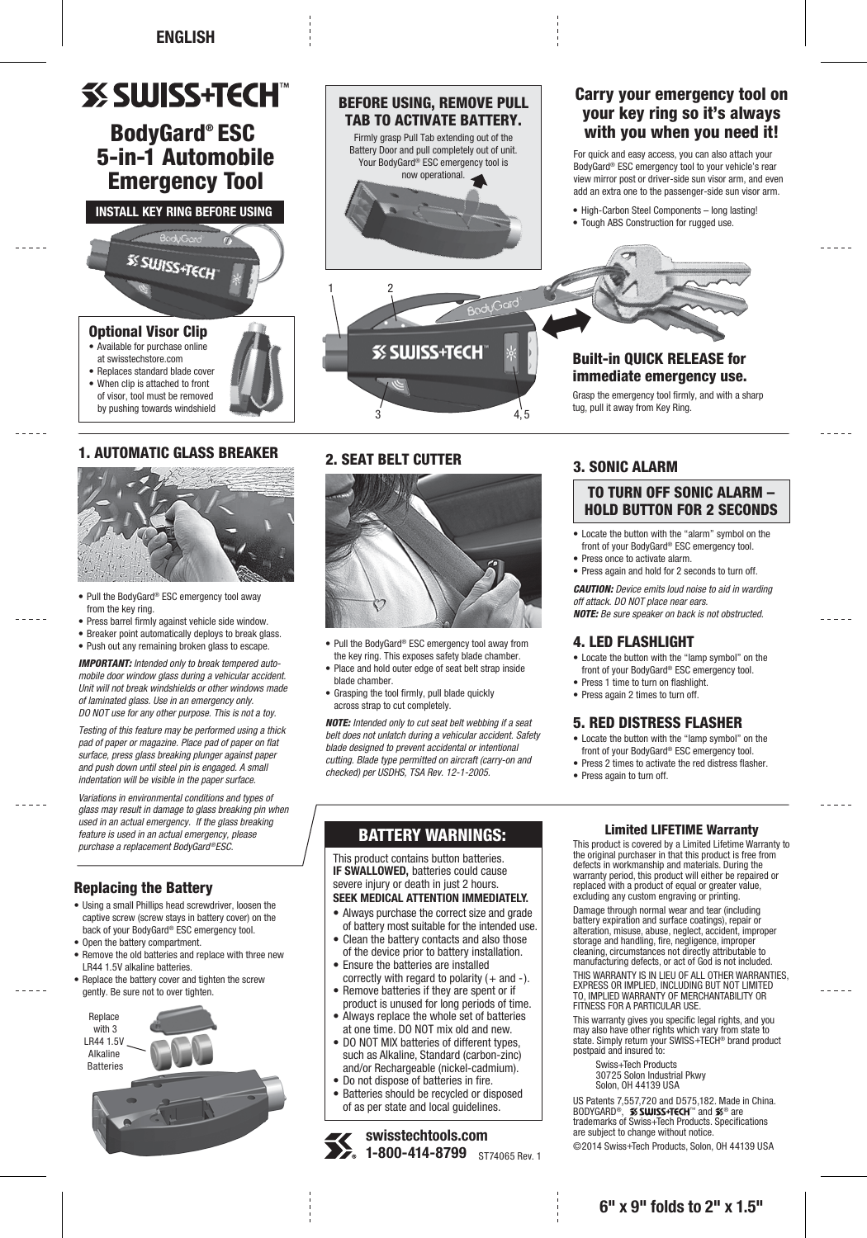# **SS SWISS+TECH**

# BodyGard® ESC 5-in-1 Automobile Emergency Tool

**INSTALL KEY RING BEFORE USING**



• When clip is attached to front of visor, tool must be removed by pushing towards windshield

# 1. AUTOMATIC GLASS BREAKER



- Pull the BodyGard® ESC emergency tool away from the key ring.
- Press barrel firmly against vehicle side window.
- Breaker point automatically deploys to break glass.
- Push out any remaining broken glass to escape.

*IMPORTANT: Intended only to break tempered automobile door window glass during a vehicular accident. Unit will not break windshields or other windows made of laminated glass. Use in an emergency only. DO NOT use for any other purpose. This is not a toy.*

*Testing of this feature may be performed using a thick pad of paper or magazine. Place pad of paper on flat surface, press glass breaking plunger against paper and push down until steel pin is engaged. A small indentation will be visible in the paper surface.*

*Variations in environmental conditions and types of glass may result in damage to glass breaking pin when used in an actual emergency. If the glass breaking feature is used in an actual emergency, please purchase a replacement BodyGard®ESC.*

# Replacing the Battery

- Using a small Phillips head screwdriver, loosen the captive screw (screw stays in battery cover) on the back of your BodyGard® ESC emergency tool.
- Open the battery compartment.
- Remove the old batteries and replace with three new LR44 1.5V alkaline batteries.
- Replace the battery cover and tighten the screw gently. Be sure not to over tighten.





# 2. SEAT BELT CUTTER



- Pull the BodyGard® ESC emergency tool away from the key ring. This exposes safety blade chamber.
- Place and hold outer edge of seat belt strap inside blade chamber.
- Grasping the tool firmly, pull blade quickly across strap to cut completely.

*NOTE: Intended only to cut seat belt webbing if a seat belt does not unlatch during a vehicular accident. Safety blade designed to prevent accidental or intentional cutting. Blade type permitted on aircraft (carry-on and checked) per USDHS, TSA Rev. 12-1-2005.*

# 3. SONIC ALARM

# TO TURN OFF SONIC ALARM – HOLD BUTTON FOR 2 SECONDS

- Locate the button with the "alarm" symbol on the front of your BodyGard® ESC emergency tool.
- Press once to activate alarm.
- Press again and hold for 2 seconds to turn off.

*CAUTION: Device emits loud noise to aid in warding off attack. DO NOT place near ears. NOTE: Be sure speaker on back is not obstructed.*

## 4. LED FLASHLIGHT

- Locate the button with the "lamp symbol" on the front of your BodyGard® ESC emergency tool.
- Press 1 time to turn on flashlight.

# • Press again 2 times to turn off.

# 5. RED DISTRESS FLASHER

- Locate the button with the "lamp symbol" on the front of your BodyGard® ESC emergency tool.
- Press 2 times to activate the red distress flasher.
- Press again to turn off.

# BATTERY WARNINGS:

This product contains button batteries. **IF SWALLOWED, batteries could cause** severe injury or death in just 2 hours. **SEEK MEDICAL ATTENTION IMMEDIATELY.**

- Always purchase the correct size and grade of battery most suitable for the intended use.
- Clean the battery contacts and also those of the device prior to battery installation.
- Ensure the batteries are installed correctly with regard to polarity  $(+)$  and  $-)$ .
- Remove batteries if they are spent or if product is unused for long periods of time.
- Always replace the whole set of batteries at one time. DO NOT mix old and new.
- DO NOT MIX batteries of different types, such as Alkaline, Standard (carbon-zinc) and/or Rechargeable (nickel-cadmium).
- Do not dispose of batteries in fire.
- Batteries should be recycled or disposed of as per state and local guidelines.

ST74065 Rev. 1 **swisstechtools.com 1-800-414-8799**

## Limited LIFETIME Warranty

This product is covered by a Limited Lifetime Warranty to the original purchaser in that this product is free from defects in workmanship and materials. During the warranty period, this product will either be repaired or replaced with a product of equal or greater value, excluding any custom engraving or printing.

Damage through normal wear and tear (including battery expiration and surface coatings), repair or alteration, misuse, abuse, neglect, accident, improper storage and handling, fire, negligence, improper cleaning, circumstances not directly attributable to manufacturing defects, or act of God is not included.

THIS WARRANTY IS IN LIEU OF ALL OTHER WARRANTIES, EXPRESS OR IMPLIED, INCLUDING BUT NOT LIMITED TO, IMPLIED WARRANTY OF MERCHANTABILITY OR FITNESS FOR A PARTICULAR USE.

This warranty gives you specific legal rights, and you may also have other rights which vary from state to state. Simply return your SWISS+TECH® brand product postpaid and insured to:

 Swiss+Tech Products 30725 Solon Industrial Pkwy Solon, OH 44139 USA

US Patents 7,557,720 and D575,182. Made in China. BODYGARD®, **≶SWISS+TECH**™ and **≸**® are<br>trademarks of Swiss+Tech Products. Specifications are subject to change without notice.

©2014 Swiss+Tech Products, Solon, OH 44139 USA